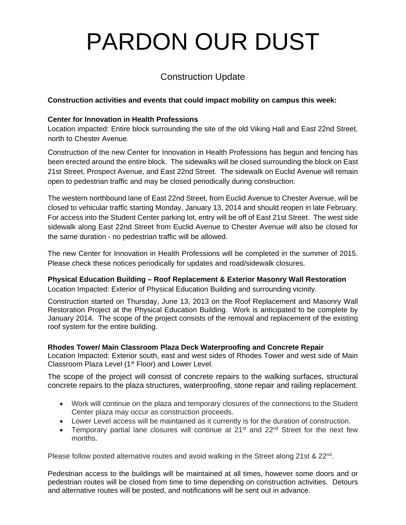# PARDON OUR DUST

# Construction Update

## **Construction activities and events that could impact mobility on campus this week:**

#### **Center for Innovation in Health Professions**

Location impacted: Entire block surrounding the site of the old Viking Hall and East 22nd Street, north to Chester Avenue.

Construction of the new Center for Innovation in Health Professions has begun and fencing has been erected around the entire block. The sidewalks will be closed surrounding the block on East 21st Street, Prospect Avenue, and East 22nd Street. The sidewalk on Euclid Avenue will remain open to pedestrian traffic and may be closed periodically during construction.

The western northbound lane of East 22nd Street, from Euclid Avenue to Chester Avenue, will be closed to vehicular traffic starting Monday, January 13, 2014 and should reopen in late February. For access into the Student Center parking lot, entry will be off of East 21st Street. The west side sidewalk along East 22nd Street from Euclid Avenue to Chester Avenue will also be closed for the same duration - no pedestrian traffic will be allowed.

The new Center for Innovation in Health Professions will be completed in the summer of 2015. Please check these notices periodically for updates and road/sidewalk closures.

## **Physical Education Building – Roof Replacement & Exterior Masonry Wall Restoration**

Location Impacted: Exterior of Physical Education Building and surrounding vicinity.

Construction started on Thursday, June 13, 2013 on the Roof Replacement and Masonry Wall Restoration Project at the Physical Education Building. Work is anticipated to be complete by January 2014. The scope of the project consists of the removal and replacement of the existing roof system for the entire building.

#### **Rhodes Tower/ Main Classroom Plaza Deck Waterproofing and Concrete Repair**

Location Impacted: Exterior south, east and west sides of Rhodes Tower and west side of Main Classroom Plaza Level (1st Floor) and Lower Level.

The scope of the project will consist of concrete repairs to the walking surfaces, structural concrete repairs to the plaza structures, waterproofing, stone repair and railing replacement.

- Work will continue on the plaza and temporary closures of the connections to the Student Center plaza may occur as construction proceeds.
- Lower Level access will be maintained as it currently is for the duration of construction.
- Temporary partial lane closures will continue at  $21^{st}$  and  $22^{nd}$  Street for the next few months.

Please follow posted alternative routes and avoid walking in the Street along 21st & 22<sup>nd</sup>.

Pedestrian access to the buildings will be maintained at all times, however some doors and or pedestrian routes will be closed from time to time depending on construction activities. Detours and alternative routes will be posted, and notifications will be sent out in advance.